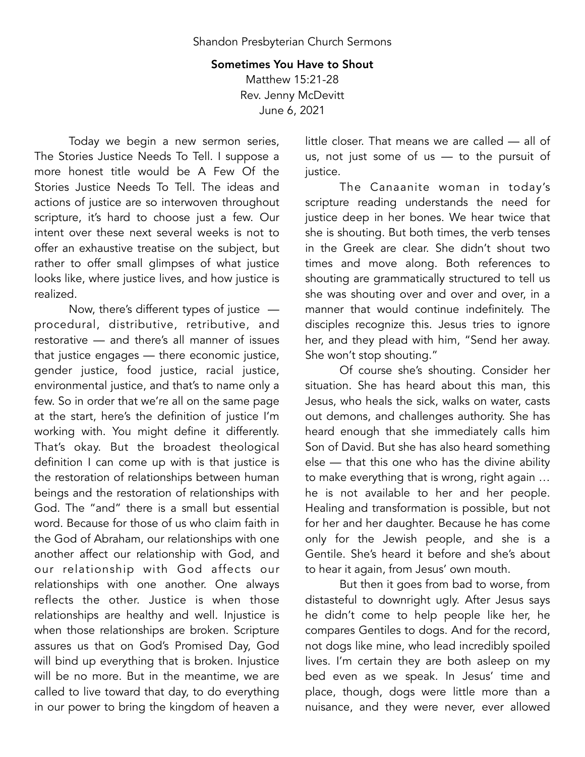## Sometimes You Have to Shout Matthew 15:21-28 Rev. Jenny McDevitt June 6, 2021

Today we begin a new sermon series, The Stories Justice Needs To Tell. I suppose a more honest title would be A Few Of the Stories Justice Needs To Tell. The ideas and actions of justice are so interwoven throughout scripture, it's hard to choose just a few. Our intent over these next several weeks is not to offer an exhaustive treatise on the subject, but rather to offer small glimpses of what justice looks like, where justice lives, and how justice is realized.

Now, there's different types of justice procedural, distributive, retributive, and restorative — and there's all manner of issues that justice engages — there economic justice, gender justice, food justice, racial justice, environmental justice, and that's to name only a few. So in order that we're all on the same page at the start, here's the definition of justice I'm working with. You might define it differently. That's okay. But the broadest theological definition I can come up with is that justice is the restoration of relationships between human beings and the restoration of relationships with God. The "and" there is a small but essential word. Because for those of us who claim faith in the God of Abraham, our relationships with one another affect our relationship with God, and our relationship with God affects our relationships with one another. One always reflects the other. Justice is when those relationships are healthy and well. Injustice is when those relationships are broken. Scripture assures us that on God's Promised Day, God will bind up everything that is broken. Injustice will be no more. But in the meantime, we are called to live toward that day, to do everything in our power to bring the kingdom of heaven a little closer. That means we are called — all of us, not just some of us — to the pursuit of justice.

The Canaanite woman in today's scripture reading understands the need for justice deep in her bones. We hear twice that she is shouting. But both times, the verb tenses in the Greek are clear. She didn't shout two times and move along. Both references to shouting are grammatically structured to tell us she was shouting over and over and over, in a manner that would continue indefinitely. The disciples recognize this. Jesus tries to ignore her, and they plead with him, "Send her away. She won't stop shouting."

Of course she's shouting. Consider her situation. She has heard about this man, this Jesus, who heals the sick, walks on water, casts out demons, and challenges authority. She has heard enough that she immediately calls him Son of David. But she has also heard something else — that this one who has the divine ability to make everything that is wrong, right again … he is not available to her and her people. Healing and transformation is possible, but not for her and her daughter. Because he has come only for the Jewish people, and she is a Gentile. She's heard it before and she's about to hear it again, from Jesus' own mouth.

But then it goes from bad to worse, from distasteful to downright ugly. After Jesus says he didn't come to help people like her, he compares Gentiles to dogs. And for the record, not dogs like mine, who lead incredibly spoiled lives. I'm certain they are both asleep on my bed even as we speak. In Jesus' time and place, though, dogs were little more than a nuisance, and they were never, ever allowed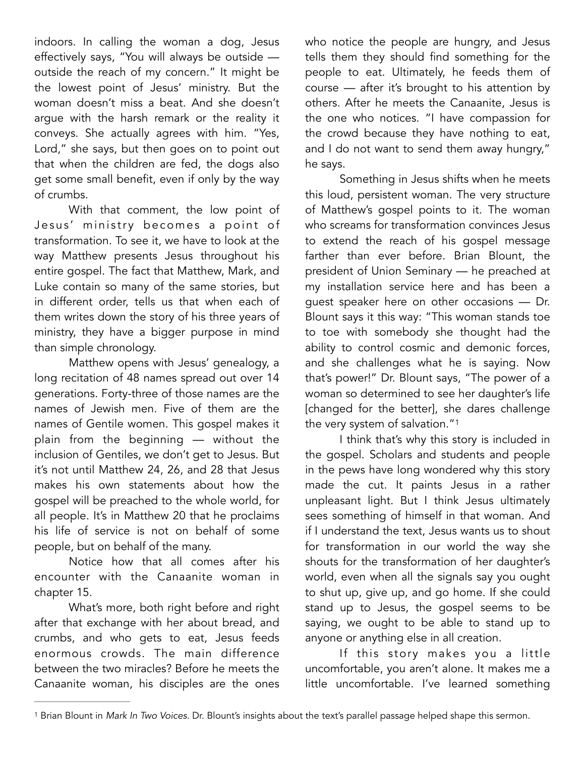indoors. In calling the woman a dog, Jesus effectively says, "You will always be outside outside the reach of my concern." It might be the lowest point of Jesus' ministry. But the woman doesn't miss a beat. And she doesn't argue with the harsh remark or the reality it conveys. She actually agrees with him. "Yes, Lord," she says, but then goes on to point out that when the children are fed, the dogs also get some small benefit, even if only by the way of crumbs.

With that comment, the low point of Jesus' ministry becomes a point of transformation. To see it, we have to look at the way Matthew presents Jesus throughout his entire gospel. The fact that Matthew, Mark, and Luke contain so many of the same stories, but in different order, tells us that when each of them writes down the story of his three years of ministry, they have a bigger purpose in mind than simple chronology.

Matthew opens with Jesus' genealogy, a long recitation of 48 names spread out over 14 generations. Forty-three of those names are the names of Jewish men. Five of them are the names of Gentile women. This gospel makes it plain from the beginning — without the inclusion of Gentiles, we don't get to Jesus. But it's not until Matthew 24, 26, and 28 that Jesus makes his own statements about how the gospel will be preached to the whole world, for all people. It's in Matthew 20 that he proclaims his life of service is not on behalf of some people, but on behalf of the many.

Notice how that all comes after his encounter with the Canaanite woman in chapter 15.

What's more, both right before and right after that exchange with her about bread, and crumbs, and who gets to eat, Jesus feeds enormous crowds. The main difference between the two miracles? Before he meets the Canaanite woman, his disciples are the ones who notice the people are hungry, and Jesus tells them they should find something for the people to eat. Ultimately, he feeds them of course — after it's brought to his attention by others. After he meets the Canaanite, Jesus is the one who notices. "I have compassion for the crowd because they have nothing to eat, and I do not want to send them away hungry," he says.

Something in Jesus shifts when he meets this loud, persistent woman. The very structure of Matthew's gospel points to it. The woman who screams for transformation convinces Jesus to extend the reach of his gospel message farther than ever before. Brian Blount, the president of Union Seminary — he preached at my installation service here and has been a guest speaker here on other occasions — Dr. Blount says it this way: "This woman stands toe to toe with somebody she thought had the ability to control cosmic and demonic forces, and she challenges what he is saying. Now that's power!" Dr. Blount says, "The power of a woman so determined to see her daughter's life [changed for the better], she dares challenge the very system of salvation.["1](#page-1-0)

<span id="page-1-1"></span>I think that's why this story is included in the gospel. Scholars and students and people in the pews have long wondered why this story made the cut. It paints Jesus in a rather unpleasant light. But I think Jesus ultimately sees something of himself in that woman. And if I understand the text, Jesus wants us to shout for transformation in our world the way she shouts for the transformation of her daughter's world, even when all the signals say you ought to shut up, give up, and go home. If she could stand up to Jesus, the gospel seems to be saying, we ought to be able to stand up to anyone or anything else in all creation.

If this story makes you a little uncomfortable, you aren't alone. It makes me a little uncomfortable. I've learned something

<span id="page-1-0"></span><sup>&</sup>lt;sup>[1](#page-1-1)</sup> Brian Blount in *Mark In Two Voices.* Dr. Blount's insights about the text's parallel passage helped shape this sermon.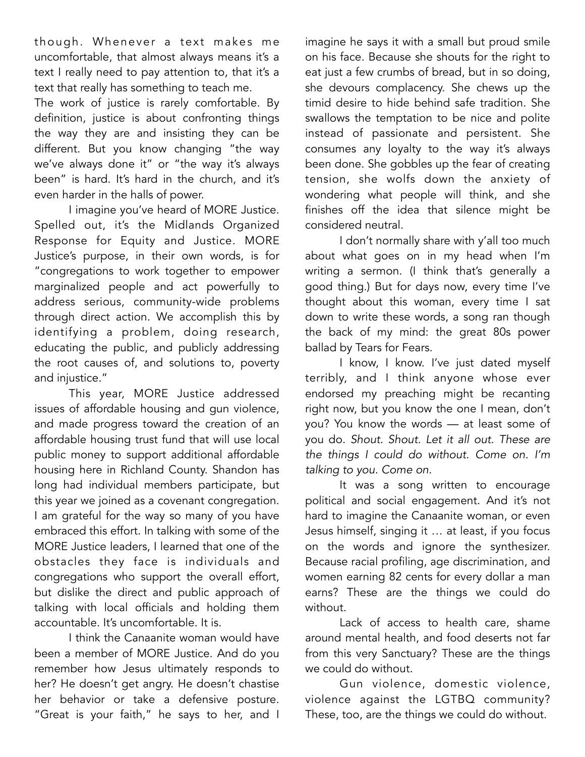though. Whenever a text makes me uncomfortable, that almost always means it's a text I really need to pay attention to, that it's a text that really has something to teach me.

The work of justice is rarely comfortable. By definition, justice is about confronting things the way they are and insisting they can be different. But you know changing "the way we've always done it" or "the way it's always been" is hard. It's hard in the church, and it's even harder in the halls of power.

I imagine you've heard of MORE Justice. Spelled out, it's the Midlands Organized Response for Equity and Justice. MORE Justice's purpose, in their own words, is for "congregations to work together to empower marginalized people and act powerfully to address serious, community-wide problems through direct action. We accomplish this by identifying a problem, doing research, educating the public, and publicly addressing the root causes of, and solutions to, poverty and injustice."

This year, MORE Justice addressed issues of affordable housing and gun violence, and made progress toward the creation of an affordable housing trust fund that will use local public money to support additional affordable housing here in Richland County. Shandon has long had individual members participate, but this year we joined as a covenant congregation. I am grateful for the way so many of you have embraced this effort. In talking with some of the MORE Justice leaders, I learned that one of the obstacles they face is individuals and congregations who support the overall effort, but dislike the direct and public approach of talking with local officials and holding them accountable. It's uncomfortable. It is.

I think the Canaanite woman would have been a member of MORE Justice. And do you remember how Jesus ultimately responds to her? He doesn't get angry. He doesn't chastise her behavior or take a defensive posture. "Great is your faith," he says to her, and I

imagine he says it with a small but proud smile on his face. Because she shouts for the right to eat just a few crumbs of bread, but in so doing, she devours complacency. She chews up the timid desire to hide behind safe tradition. She swallows the temptation to be nice and polite instead of passionate and persistent. She consumes any loyalty to the way it's always been done. She gobbles up the fear of creating tension, she wolfs down the anxiety of wondering what people will think, and she finishes off the idea that silence might be considered neutral.

I don't normally share with y'all too much about what goes on in my head when I'm writing a sermon. (I think that's generally a good thing.) But for days now, every time I've thought about this woman, every time I sat down to write these words, a song ran though the back of my mind: the great 80s power ballad by Tears for Fears.

I know, I know. I've just dated myself terribly, and I think anyone whose ever endorsed my preaching might be recanting right now, but you know the one I mean, don't you? You know the words — at least some of you do. *Shout. Shout. Let it all out. These are the things I could do without. Come on. I'm talking to you. Come on.* 

It was a song written to encourage political and social engagement. And it's not hard to imagine the Canaanite woman, or even Jesus himself, singing it … at least, if you focus on the words and ignore the synthesizer. Because racial profiling, age discrimination, and women earning 82 cents for every dollar a man earns? These are the things we could do without.

Lack of access to health care, shame around mental health, and food deserts not far from this very Sanctuary? These are the things we could do without.

Gun violence, domestic violence, violence against the LGTBQ community? These, too, are the things we could do without.